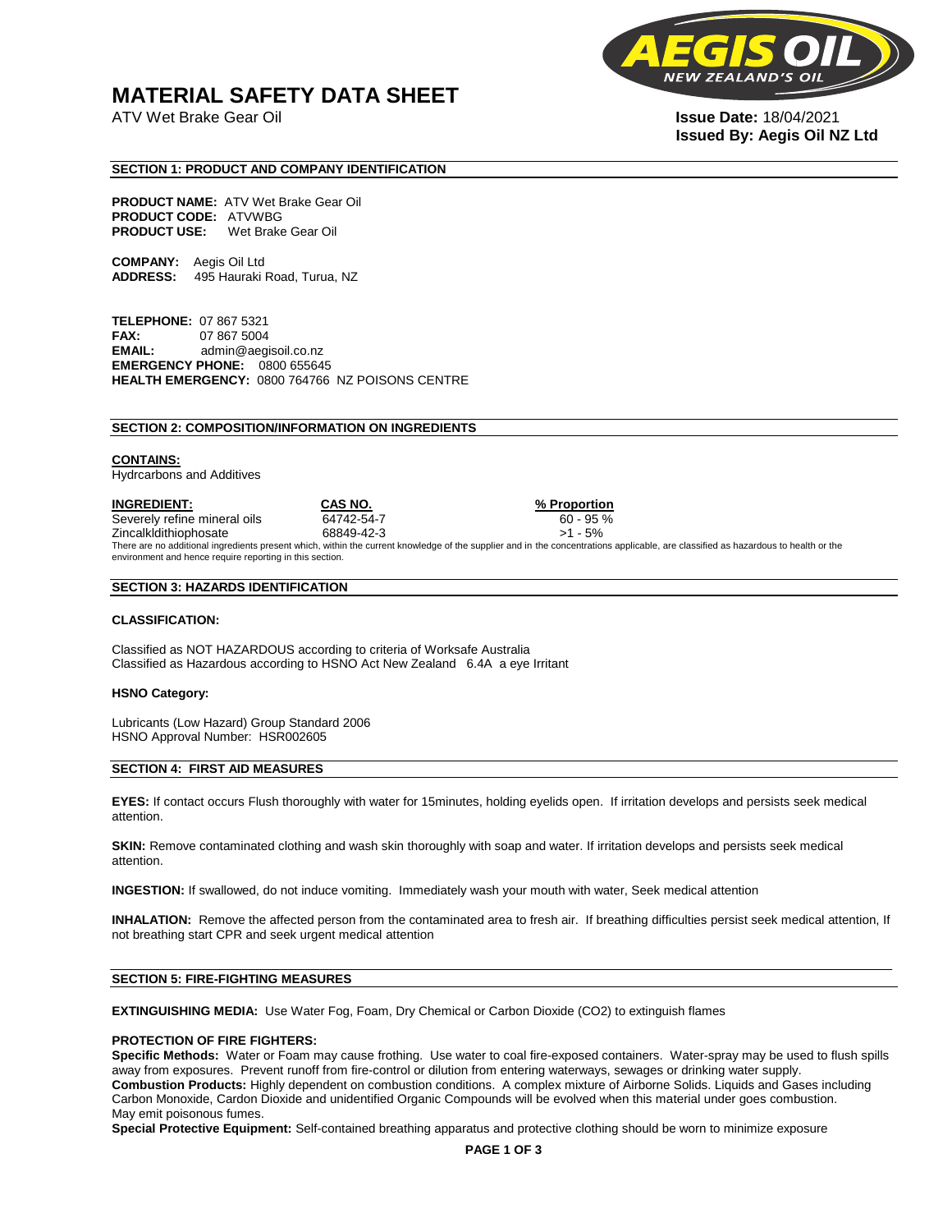### **MATERIAL SAFETY DATA SHEET**

ATV Wet Brake Gear Oil **Issue Date:** 18/04/2021



# **Issued By: Aegis Oil NZ Ltd**

#### **SECTION 1: PRODUCT AND COMPANY IDENTIFICATION**

**PRODUCT NAME:** ATV Wet Brake Gear Oil **PRODUCT CODE:** ATVWBG **PRODUCT USE:** Wet Brake Gear Oil

**COMPANY:** Aegis Oil Ltd **ADDRESS:** 495 Hauraki Road, Turua, NZ

**TELEPHONE:** 07 867 5321 **FAX:** 07 867 5004 **EMAIL:** admin@aegisoil.co.nz **EMERGENCY PHONE:** 0800 655645 **HEALTH EMERGENCY:** 0800 764766 NZ POISONS CENTRE

#### **SECTION 2: COMPOSITION/INFORMATION ON INGREDIENTS**

#### **CONTAINS:**

Hydrcarbons and Additives

**INGREDIENT: CAS NO. % Proportion**  Severely refine mineral oils 64742-54-7 60 - 95 % Zincalkldithiophosate 68849-42-3 >1 - 5% There are no additional ingredients present which, within the current knowledge of the supplier and in the concentrations applicable, are classified as hazardous to health or the environment and hence require reporting in this section.

#### **SECTION 3: HAZARDS IDENTIFICATION**

#### **CLASSIFICATION:**

Classified as NOT HAZARDOUS according to criteria of Worksafe Australia Classified as Hazardous according to HSNO Act New Zealand 6.4A a eye Irritant

#### **HSNO Category:**

Lubricants (Low Hazard) Group Standard 2006 HSNO Approval Number: HSR002605

#### **SECTION 4: FIRST AID MEASURES**

**EYES:** If contact occurs Flush thoroughly with water for 15minutes, holding eyelids open. If irritation develops and persists seek medical attention.

**SKIN:** Remove contaminated clothing and wash skin thoroughly with soap and water. If irritation develops and persists seek medical attention.

**INGESTION:** If swallowed, do not induce vomiting. Immediately wash your mouth with water, Seek medical attention

**INHALATION:** Remove the affected person from the contaminated area to fresh air. If breathing difficulties persist seek medical attention, If not breathing start CPR and seek urgent medical attention

#### **SECTION 5: FIRE-FIGHTING MEASURES**

**EXTINGUISHING MEDIA:** Use Water Fog, Foam, Dry Chemical or Carbon Dioxide (CO2) to extinguish flames

#### **PROTECTION OF FIRE FIGHTERS:**

**Specific Methods:** Water or Foam may cause frothing. Use water to coal fire-exposed containers. Water-spray may be used to flush spills away from exposures. Prevent runoff from fire-control or dilution from entering waterways, sewages or drinking water supply. **Combustion Products:** Highly dependent on combustion conditions. A complex mixture of Airborne Solids. Liquids and Gases including Carbon Monoxide, Cardon Dioxide and unidentified Organic Compounds will be evolved when this material under goes combustion. May emit poisonous fumes.

**Special Protective Equipment:** Self-contained breathing apparatus and protective clothing should be worn to minimize exposure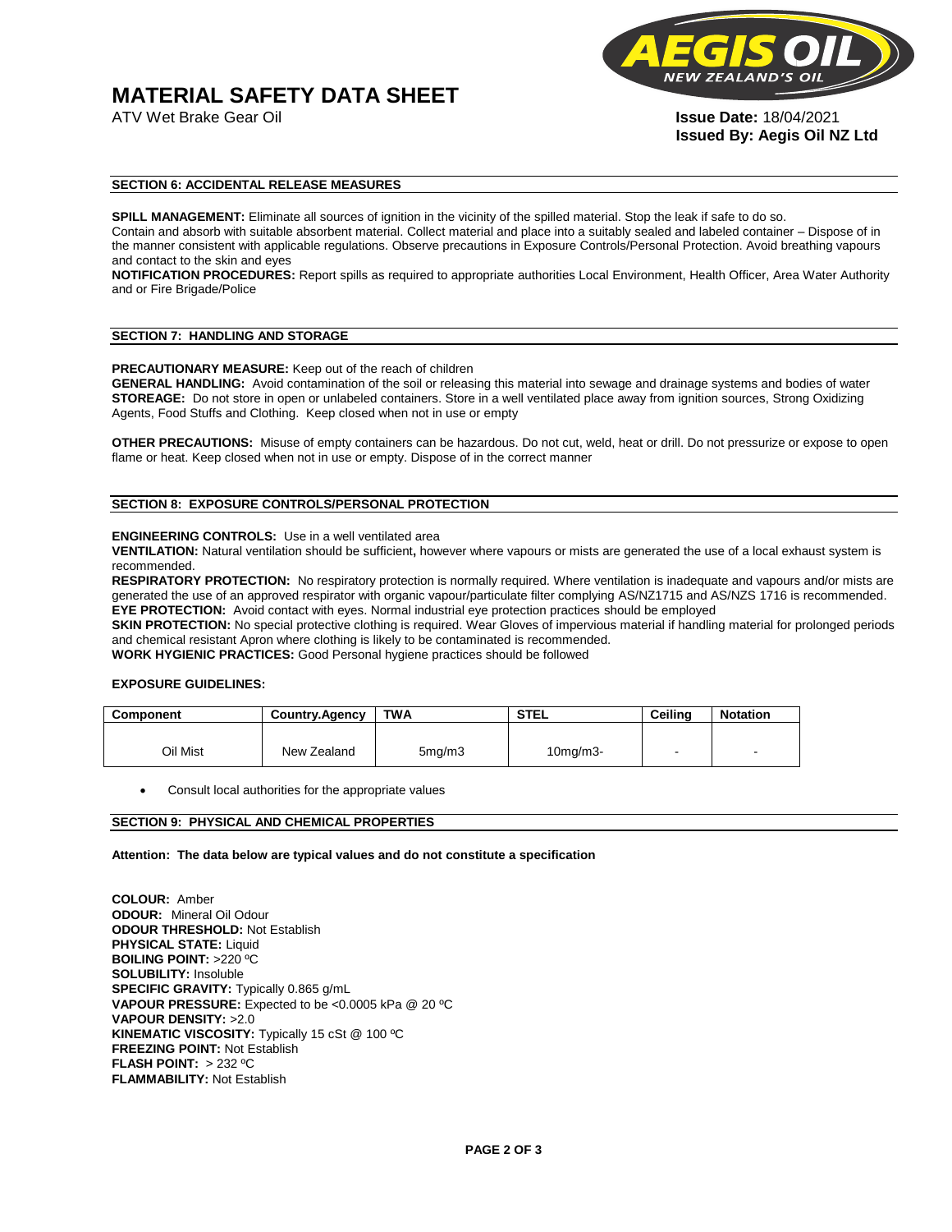# **MATERIAL SAFETY DATA SHEET**



**Issued By: Aegis Oil NZ Ltd** 

#### **SECTION 6: ACCIDENTAL RELEASE MEASURES**

**SPILL MANAGEMENT:** Eliminate all sources of ignition in the vicinity of the spilled material. Stop the leak if safe to do so. Contain and absorb with suitable absorbent material. Collect material and place into a suitably sealed and labeled container – Dispose of in the manner consistent with applicable regulations. Observe precautions in Exposure Controls/Personal Protection. Avoid breathing vapours and contact to the skin and eyes

**NOTIFICATION PROCEDURES:** Report spills as required to appropriate authorities Local Environment, Health Officer, Area Water Authority and or Fire Brigade/Police

#### **SECTION 7: HANDLING AND STORAGE**

**PRECAUTIONARY MEASURE:** Keep out of the reach of children

**GENERAL HANDLING:** Avoid contamination of the soil or releasing this material into sewage and drainage systems and bodies of water **STOREAGE:** Do not store in open or unlabeled containers. Store in a well ventilated place away from ignition sources, Strong Oxidizing Agents, Food Stuffs and Clothing. Keep closed when not in use or empty

**OTHER PRECAUTIONS:** Misuse of empty containers can be hazardous. Do not cut, weld, heat or drill. Do not pressurize or expose to open flame or heat. Keep closed when not in use or empty. Dispose of in the correct manner

#### **SECTION 8: EXPOSURE CONTROLS/PERSONAL PROTECTION**

#### **ENGINEERING CONTROLS:** Use in a well ventilated area

**VENTILATION:** Natural ventilation should be sufficient**,** however where vapours or mists are generated the use of a local exhaust system is recommended.

**RESPIRATORY PROTECTION:** No respiratory protection is normally required. Where ventilation is inadequate and vapours and/or mists are generated the use of an approved respirator with organic vapour/particulate filter complying AS/NZ1715 and AS/NZS 1716 is recommended. **EYE PROTECTION:** Avoid contact with eyes. Normal industrial eye protection practices should be employed

**SKIN PROTECTION:** No special protective clothing is required. Wear Gloves of impervious material if handling material for prolonged periods and chemical resistant Apron where clothing is likely to be contaminated is recommended.

**WORK HYGIENIC PRACTICES:** Good Personal hygiene practices should be followed

#### **EXPOSURE GUIDELINES:**

| <b>Component</b> | <b>Country.Agency</b> | <b>TWA</b>          | <b>STEL</b>    | Ceilina | <b>Notation</b>          |
|------------------|-----------------------|---------------------|----------------|---------|--------------------------|
|                  |                       |                     |                |         |                          |
| Oil Mist         | New Zealand           | 5 <sub>mq</sub> /m3 | $10$ mg/m $3-$ |         | $\overline{\phantom{a}}$ |

Consult local authorities for the appropriate values

#### **SECTION 9: PHYSICAL AND CHEMICAL PROPERTIES**

**Attention: The data below are typical values and do not constitute a specification** 

**COLOUR:** Amber **ODOUR:** Mineral Oil Odour **ODOUR THRESHOLD:** Not Establish **PHYSICAL STATE:** Liquid **BOILING POINT:** >220 ºC **SOLUBILITY:** Insoluble **SPECIFIC GRAVITY:** Typically 0.865 g/mL **VAPOUR PRESSURE:** Expected to be <0.0005 kPa @ 20 ºC **VAPOUR DENSITY:** >2.0 **KINEMATIC VISCOSITY:** Typically 15 cSt @ 100 ºC **FREEZING POINT: Not Establish FLASH POINT:** > 232 ºC **FLAMMABILITY:** Not Establish